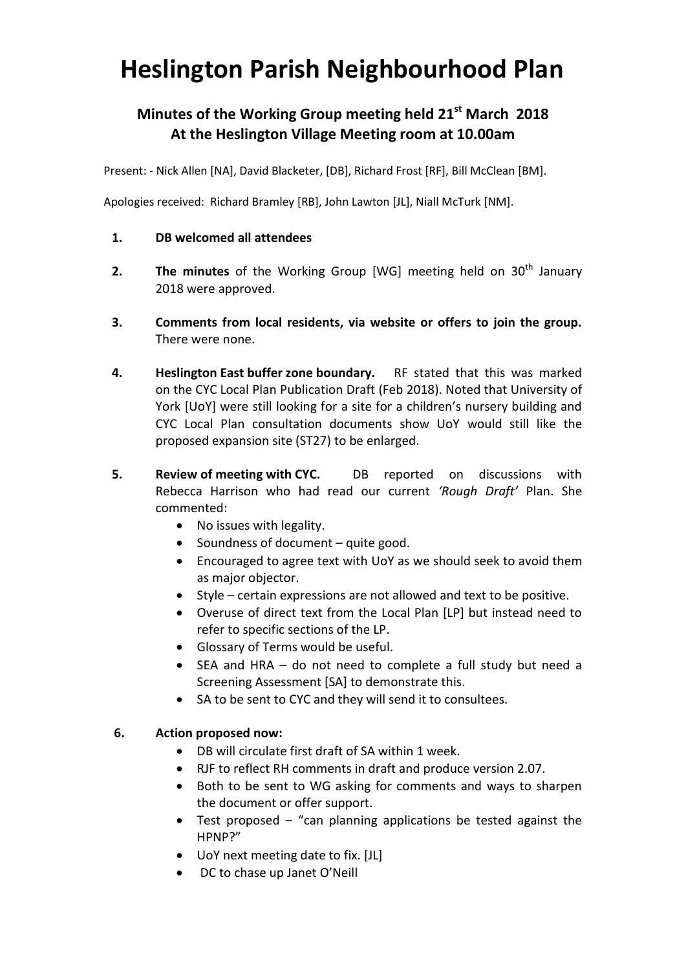# **Heslington Parish Neighbourhood Plan**

## **Minutes of the Working Group meeting held 21st March 2018 At the Heslington Village Meeting room at 10.00am**

Present: - Nick Allen [NA], David Blacketer, [DB], Richard Frost [RF], Bill McClean [BM].

Apologies received: Richard Bramley [RB], John Lawton [JL], Niall McTurk [NM].

#### **1. DB welcomed all attendees**

- **2. The minutes** of the Working Group [WG] meeting held on 30<sup>th</sup> January 2018 were approved.
- **3. Comments from local residents, via website or offers to join the group.**  There were none.
- **4. Heslington East buffer zone boundary.** RF stated that this was marked on the CYC Local Plan Publication Draft (Feb 2018). Noted that University of York [UoY] were still looking for a site for a children's nursery building and CYC Local Plan consultation documents show UoY would still like the proposed expansion site (ST27) to be enlarged.
- **5. Review of meeting with CYC.** DB reported on discussions with Rebecca Harrison who had read our current *'Rough Draft'* Plan. She commented:
	- No issues with legality.
	- Soundness of document quite good.
	- Encouraged to agree text with UoY as we should seek to avoid them as major objector.
	- Style certain expressions are not allowed and text to be positive.
	- Overuse of direct text from the Local Plan [LP] but instead need to refer to specific sections of the LP.
	- Glossary of Terms would be useful.
	- SEA and HRA do not need to complete a full study but need a Screening Assessment [SA] to demonstrate this.
	- SA to be sent to CYC and they will send it to consultees.

#### **6. Action proposed now:**

- DB will circulate first draft of SA within 1 week.
- RJF to reflect RH comments in draft and produce version 2.07.
- Both to be sent to WG asking for comments and ways to sharpen the document or offer support.
- Test proposed "can planning applications be tested against the HPNP?"
- UoY next meeting date to fix. [JL]
- DC to chase up Janet O'Neill